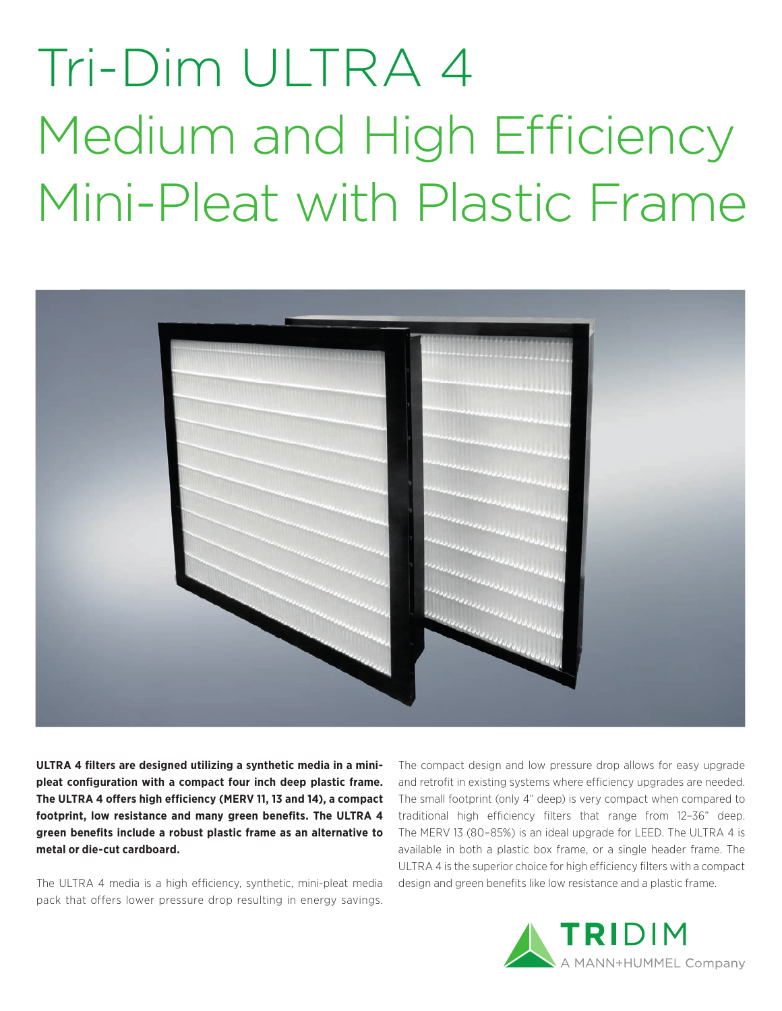## Tri-Dim ULTRA 4 Medium and High Efficiency Mini-Pleat with Plastic Frame



**ULTRA 4 filters are designed utilizing a synthetic media in a minipleat configuration with a compact four inch deep plastic frame.**  The ULTRA 4 offers high efficiency (MERV 11, 13 and 14), a compact **footprint, low resistance and many green benefits. The ULTRA 4 green benefits include a robust plastic frame as an alternative to metal or die-cut cardboard.** 

The ULTRA 4 media is a high efficiency, synthetic, mini-pleat media pack that offers lower pressure drop resulting in energy savings.

The compact design and low pressure drop allows for easy upgrade and retrofit in existing systems where efficiency upgrades are needed. The small footprint (only 4" deep) is very compact when compared to traditional high efficiency filters that range from 12–36" deep. The MERV 13 (80–85%) is an ideal upgrade for LEED. The ULTRA 4 is available in both a plastic box frame, or a single header frame. The ULTRA 4 is the superior choice for high efficiency filters with a compact design and green benefits like low resistance and a plastic frame.